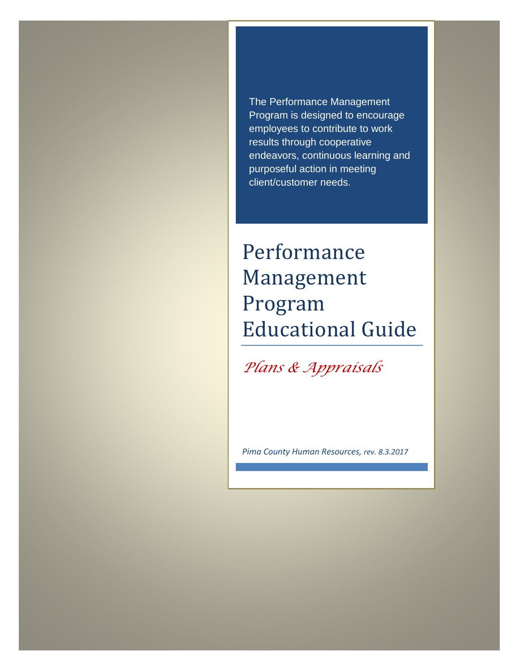The Performance Management Program is designed to encourage employees to contribute to work results through cooperative endeavors, continuous learning and purposeful action in meeting client/customer needs.

# Performance Management Program Educational Guide

*Plans & Appraisals*

*Pima County Human Resources, rev. 8.3.2017*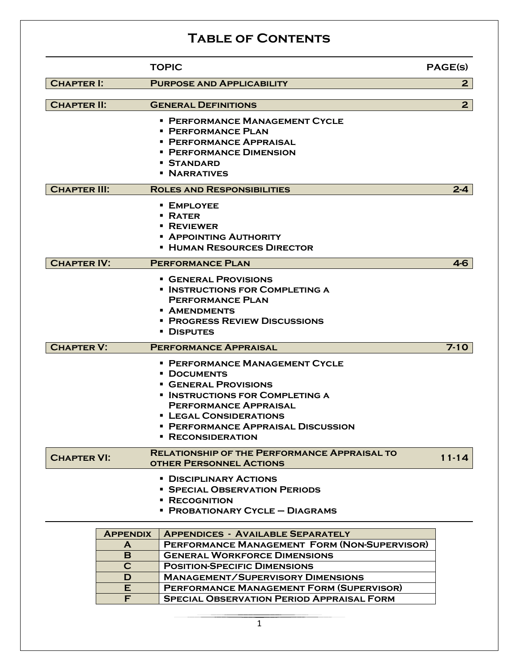### **Table of Contents**

|                                                             |    | <b>TOPIC</b>                                        | <b>PAGE(S)</b> |
|-------------------------------------------------------------|----|-----------------------------------------------------|----------------|
| <b>CHAPTER I:</b>                                           |    | <b>PURPOSE AND APPLICABILITY</b>                    | $\mathbf{2}$   |
|                                                             |    |                                                     |                |
| <b>CHAPTER II:</b>                                          |    | <b>GENERAL DEFINITIONS</b>                          | 2 <sub>1</sub> |
|                                                             |    | <b>• PERFORMANCE MANAGEMENT CYCLE</b>               |                |
|                                                             |    | <b>PERFORMANCE PLAN</b>                             |                |
|                                                             |    | • PERFORMANCE APPRAISAL                             |                |
|                                                             |    | • PERFORMANCE DIMENSION                             |                |
|                                                             |    | • Standard                                          |                |
|                                                             |    | <b>NARRATIVES</b>                                   |                |
| <b>CHAPTER III:</b>                                         |    | <b>ROLES AND RESPONSIBILITIES</b>                   | $2 - 4$        |
|                                                             |    | • EMPLOYEE                                          |                |
|                                                             |    | <b>• RATER</b>                                      |                |
|                                                             |    | <b>• REVIEWER</b>                                   |                |
|                                                             |    | <b>- APPOINTING AUTHORITY</b>                       |                |
|                                                             |    | <b>E HUMAN RESOURCES DIRECTOR</b>                   |                |
| <b>CHAPTER IV:</b>                                          |    | <b>PERFORMANCE PLAN</b>                             | $4-6$          |
|                                                             |    | <b>GENERAL PROVISIONS</b>                           |                |
|                                                             |    | <b>INSTRUCTIONS FOR COMPLETING A</b>                |                |
|                                                             |    | <b>PERFORMANCE PLAN</b>                             |                |
|                                                             |    | • AMENDMENTS                                        |                |
|                                                             |    | <b>• PROGRESS REVIEW DISCUSSIONS</b>                |                |
|                                                             |    | • Disputes                                          |                |
| <b>CHAPTER V:</b>                                           |    | <b>PERFORMANCE APPRAISAL</b>                        | $7 - 10$       |
|                                                             |    | • PERFORMANCE MANAGEMENT CYCLE                      |                |
|                                                             |    | <b>• DOCUMENTS</b>                                  |                |
|                                                             |    | <b>GENERAL PROVISIONS</b>                           |                |
|                                                             |    | <b>INSTRUCTIONS FOR COMPLETING A</b>                |                |
|                                                             |    | <b>PERFORMANCE APPRAISAL</b>                        |                |
|                                                             |    | <b>ELEGAL CONSIDERATIONS</b>                        |                |
|                                                             |    | • PERFORMANCE APPRAISAL DISCUSSION                  |                |
|                                                             |    | <b>RECONSIDERATION</b>                              |                |
| <b>CHAPTER VI:</b>                                          |    | <b>RELATIONSHIP OF THE PERFORMANCE APPRAISAL TO</b> | $11 - 14$      |
|                                                             |    | <b>OTHER PERSONNEL ACTIONS</b>                      |                |
|                                                             |    | • DISCIPLINARY ACTIONS                              |                |
|                                                             |    | <b>SPECIAL OBSERVATION PERIODS</b>                  |                |
| • RECOGNITION                                               |    |                                                     |                |
|                                                             |    | <b>• PROBATIONARY CYCLE - DIAGRAMS</b>              |                |
| <b>APPENDIX</b><br><b>APPENDICES - AVAILABLE SEPARATELY</b> |    |                                                     |                |
|                                                             | A  | PERFORMANCE MANAGEMENT FORM (NON-SUPERVISOR)        |                |
|                                                             | B. | <b>GENERAL WORKFORCE DIMENSIONS</b>                 |                |
|                                                             | C  | <b>POSITION-SPECIFIC DIMENSIONS</b>                 |                |
|                                                             | D  | <b>MANAGEMENT/SUPERVISORY DIMENSIONS</b>            |                |
|                                                             | E. | <b>PERFORMANCE MANAGEMENT FORM (SUPERVISOR)</b>     |                |
|                                                             | F  | <b>SPECIAL OBSERVATION PERIOD APPRAISAL FORM</b>    |                |

1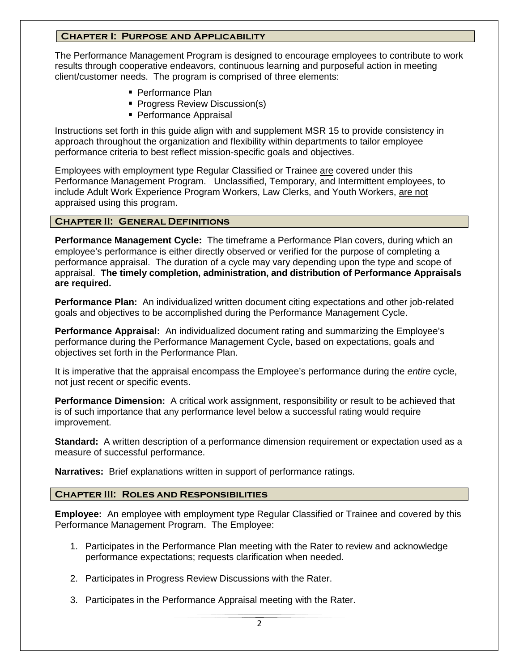#### **Chapter I: Purpose and Applicability**

The Performance Management Program is designed to encourage employees to contribute to work results through cooperative endeavors, continuous learning and purposeful action in meeting client/customer needs. The program is comprised of three elements:

- Performance Plan
- **Progress Review Discussion(s)**
- **Performance Appraisal**

Instructions set forth in this guide align with and supplement MSR 15 to provide consistency in approach throughout the organization and flexibility within departments to tailor employee performance criteria to best reflect mission-specific goals and objectives.

Employees with employment type Regular Classified or Trainee are covered under this Performance Management Program. Unclassified, Temporary, and Intermittent employees, to include Adult Work Experience Program Workers, Law Clerks, and Youth Workers, are not appraised using this program.

#### **Chapter II: General Definitions**

**Performance Management Cycle:** The timeframe a Performance Plan covers, during which an employee's performance is either directly observed or verified for the purpose of completing a performance appraisal. The duration of a cycle may vary depending upon the type and scope of appraisal. **The timely completion, administration, and distribution of Performance Appraisals are required.**

**Performance Plan:** An individualized written document citing expectations and other job-related goals and objectives to be accomplished during the Performance Management Cycle.

**Performance Appraisal:** An individualized document rating and summarizing the Employee's performance during the Performance Management Cycle, based on expectations, goals and objectives set forth in the Performance Plan.

It is imperative that the appraisal encompass the Employee's performance during the *entire* cycle, not just recent or specific events.

**Performance Dimension:** A critical work assignment, responsibility or result to be achieved that is of such importance that any performance level below a successful rating would require improvement.

**Standard:** A written description of a performance dimension requirement or expectation used as a measure of successful performance.

**Narratives:** Brief explanations written in support of performance ratings.

#### **Chapter III: Roles and Responsibilities**

**Employee:** An employee with employment type Regular Classified or Trainee and covered by this Performance Management Program. The Employee:

- 1. Participates in the Performance Plan meeting with the Rater to review and acknowledge performance expectations; requests clarification when needed.
- 2. Participates in Progress Review Discussions with the Rater.
- 3. Participates in the Performance Appraisal meeting with the Rater.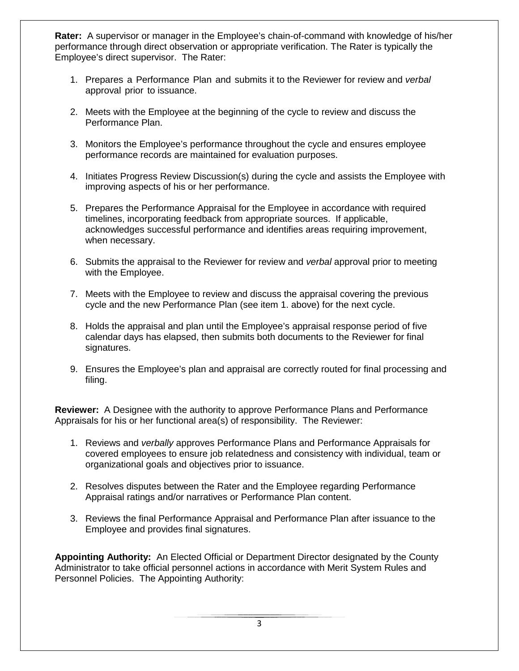**Rater:** A supervisor or manager in the Employee's chain-of-command with knowledge of his/her performance through direct observation or appropriate verification. The Rater is typically the Employee's direct supervisor. The Rater:

- 1. Prepares a Performance Plan and submits it to the Reviewer for review and *verbal* approval prior to issuance.
- 2. Meets with the Employee at the beginning of the cycle to review and discuss the Performance Plan.
- 3. Monitors the Employee's performance throughout the cycle and ensures employee performance records are maintained for evaluation purposes.
- 4. Initiates Progress Review Discussion(s) during the cycle and assists the Employee with improving aspects of his or her performance.
- 5. Prepares the Performance Appraisal for the Employee in accordance with required timelines, incorporating feedback from appropriate sources. If applicable, acknowledges successful performance and identifies areas requiring improvement, when necessary.
- 6. Submits the appraisal to the Reviewer for review and *verbal* approval prior to meeting with the Employee.
- 7. Meets with the Employee to review and discuss the appraisal covering the previous cycle and the new Performance Plan (see item 1. above) for the next cycle.
- 8. Holds the appraisal and plan until the Employee's appraisal response period of five calendar days has elapsed, then submits both documents to the Reviewer for final signatures.
- 9. Ensures the Employee's plan and appraisal are correctly routed for final processing and filing.

**Reviewer:** A Designee with the authority to approve Performance Plans and Performance Appraisals for his or her functional area(s) of responsibility. The Reviewer:

- 1. Reviews and *verbally* approves Performance Plans and Performance Appraisals for covered employees to ensure job relatedness and consistency with individual, team or organizational goals and objectives prior to issuance.
- 2. Resolves disputes between the Rater and the Employee regarding Performance Appraisal ratings and/or narratives or Performance Plan content.
- 3. Reviews the final Performance Appraisal and Performance Plan after issuance to the Employee and provides final signatures.

**Appointing Authority:** An Elected Official or Department Director designated by the County Administrator to take official personnel actions in accordance with Merit System Rules and Personnel Policies. The Appointing Authority:

3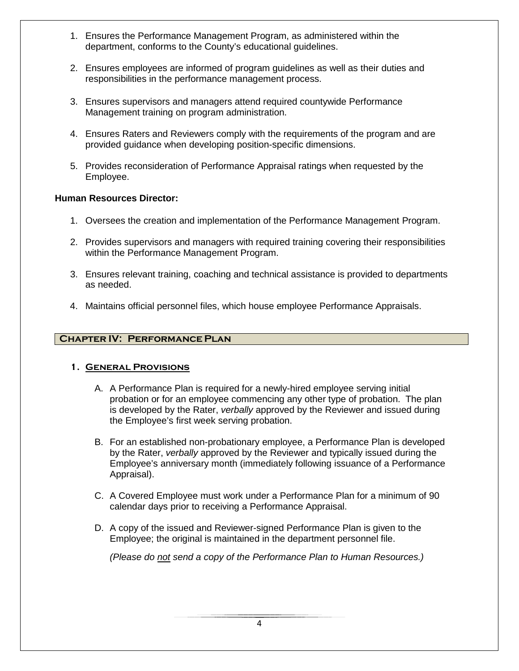- 1. Ensures the Performance Management Program, as administered within the department, conforms to the County's educational guidelines.
- 2. Ensures employees are informed of program guidelines as well as their duties and responsibilities in the performance management process.
- 3. Ensures supervisors and managers attend required countywide Performance Management training on program administration.
- 4. Ensures Raters and Reviewers comply with the requirements of the program and are provided guidance when developing position-specific dimensions.
- 5. Provides reconsideration of Performance Appraisal ratings when requested by the Employee.

#### **Human Resources Director:**

- 1. Oversees the creation and implementation of the Performance Management Program.
- 2. Provides supervisors and managers with required training covering their responsibilities within the Performance Management Program.
- 3. Ensures relevant training, coaching and technical assistance is provided to departments as needed.
- 4. Maintains official personnel files, which house employee Performance Appraisals.

#### **Chapter IV: Performance Plan**

#### **1. General Provisions**

- A. A Performance Plan is required for a newly-hired employee serving initial probation or for an employee commencing any other type of probation. The plan is developed by the Rater, *verbally* approved by the Reviewer and issued during the Employee's first week serving probation.
- B. For an established non-probationary employee, a Performance Plan is developed by the Rater, *verbally* approved by the Reviewer and typically issued during the Employee's anniversary month (immediately following issuance of a Performance Appraisal).
- C. A Covered Employee must work under a Performance Plan for a minimum of 90 calendar days prior to receiving a Performance Appraisal.
- D. A copy of the issued and Reviewer-signed Performance Plan is given to the Employee; the original is maintained in the department personnel file.

*(Please do not send a copy of the Performance Plan to Human Resources.)*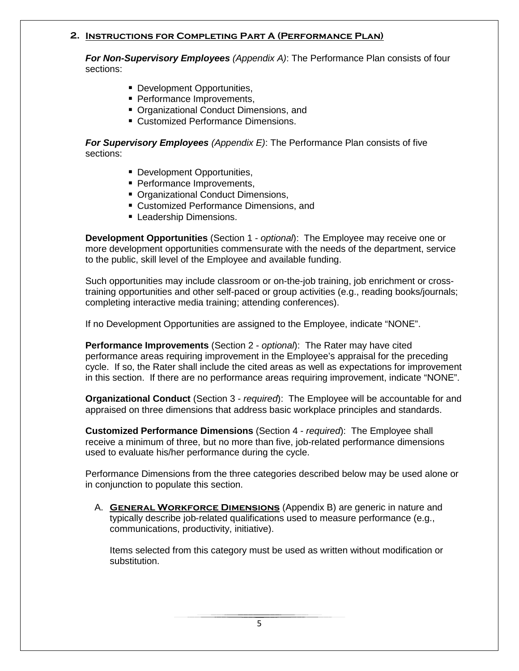#### **2. Instructions for Completing Part A (Performance Plan)**

*For Non-Supervisory Employees (Appendix A)*: The Performance Plan consists of four sections:

- **Development Opportunities,**
- **Performance Improvements,**
- Organizational Conduct Dimensions, and
- Customized Performance Dimensions.

*For Supervisory Employees (Appendix E)*: The Performance Plan consists of five sections:

- Development Opportunities,
- **Performance Improvements.**
- Organizational Conduct Dimensions,
- Customized Performance Dimensions, and
- **Leadership Dimensions.**

**Development Opportunities** (Section 1 - *optional*): The Employee may receive one or more development opportunities commensurate with the needs of the department, service to the public, skill level of the Employee and available funding.

Such opportunities may include classroom or on-the-job training, job enrichment or crosstraining opportunities and other self-paced or group activities (e.g., reading books/journals; completing interactive media training; attending conferences).

If no Development Opportunities are assigned to the Employee, indicate "NONE".

**Performance Improvements** (Section 2 - *optional*): The Rater may have cited performance areas requiring improvement in the Employee's appraisal for the preceding cycle. If so, the Rater shall include the cited areas as well as expectations for improvement in this section. If there are no performance areas requiring improvement, indicate "NONE".

**Organizational Conduct** (Section 3 - *required*): The Employee will be accountable for and appraised on three dimensions that address basic workplace principles and standards.

**Customized Performance Dimensions** (Section 4 - *required*): The Employee shall receive a minimum of three, but no more than five, job-related performance dimensions used to evaluate his/her performance during the cycle.

Performance Dimensions from the three categories described below may be used alone or in conjunction to populate this section.

A. **General Workforce Dimensions** (Appendix B) are generic in nature and typically describe job-related qualifications used to measure performance (e.g., communications, productivity, initiative).

Items selected from this category must be used as written without modification or substitution.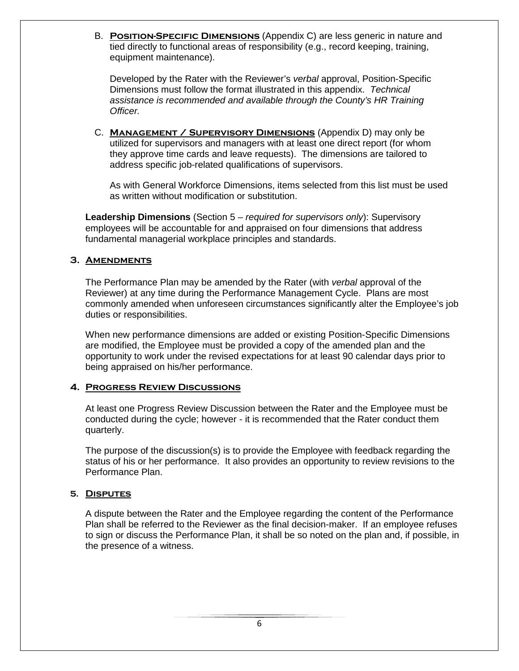B. **Position-Specific Dimensions** (Appendix C) are less generic in nature and tied directly to functional areas of responsibility (e.g., record keeping, training, equipment maintenance).

Developed by the Rater with the Reviewer's *verbal* approval, Position-Specific Dimensions must follow the format illustrated in this appendix. *Technical assistance is recommended and available through the County's HR Training Officer.*

C. **Management / Supervisory Dimensions** (Appendix D) may only be utilized for supervisors and managers with at least one direct report (for whom they approve time cards and leave requests). The dimensions are tailored to address specific job-related qualifications of supervisors.

As with General Workforce Dimensions, items selected from this list must be used as written without modification or substitution.

**Leadership Dimensions** (Section 5 – *required for supervisors only*): Supervisory employees will be accountable for and appraised on four dimensions that address fundamental managerial workplace principles and standards.

#### **3. Amendments**

The Performance Plan may be amended by the Rater (with *verbal* approval of the Reviewer) at any time during the Performance Management Cycle. Plans are most commonly amended when unforeseen circumstances significantly alter the Employee's job duties or responsibilities.

When new performance dimensions are added or existing Position-Specific Dimensions are modified, the Employee must be provided a copy of the amended plan and the opportunity to work under the revised expectations for at least 90 calendar days prior to being appraised on his/her performance.

#### **4. Progress Review Discussions**

At least one Progress Review Discussion between the Rater and the Employee must be conducted during the cycle; however - it is recommended that the Rater conduct them quarterly.

The purpose of the discussion(s) is to provide the Employee with feedback regarding the status of his or her performance. It also provides an opportunity to review revisions to the Performance Plan.

#### **5. Disputes**

A dispute between the Rater and the Employee regarding the content of the Performance Plan shall be referred to the Reviewer as the final decision-maker. If an employee refuses to sign or discuss the Performance Plan, it shall be so noted on the plan and, if possible, in the presence of a witness.

6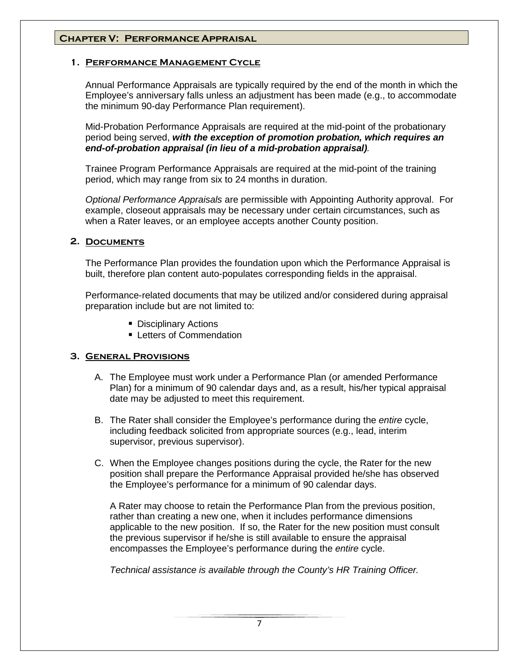#### **Chapter V: Performance Appraisal**

#### **1. Performance Management Cycle**

Annual Performance Appraisals are typically required by the end of the month in which the Employee's anniversary falls unless an adjustment has been made (e.g., to accommodate the minimum 90-day Performance Plan requirement).

Mid-Probation Performance Appraisals are required at the mid-point of the probationary period being served, *with the exception of promotion probation, which requires an end-of-probation appraisal (in lieu of a mid-probation appraisal).*

Trainee Program Performance Appraisals are required at the mid-point of the training period, which may range from six to 24 months in duration.

*Optional Performance Appraisals* are permissible with Appointing Authority approval. For example, closeout appraisals may be necessary under certain circumstances, such as when a Rater leaves, or an employee accepts another County position.

#### **2. Documents**

The Performance Plan provides the foundation upon which the Performance Appraisal is built, therefore plan content auto-populates corresponding fields in the appraisal.

Performance-related documents that may be utilized and/or considered during appraisal preparation include but are not limited to:

- **Disciplinary Actions**
- **Executers of Commendation**

#### **3. General Provisions**

- A. The Employee must work under a Performance Plan (or amended Performance Plan) for a minimum of 90 calendar days and, as a result, his/her typical appraisal date may be adjusted to meet this requirement.
- B. The Rater shall consider the Employee's performance during the *entire* cycle, including feedback solicited from appropriate sources (e.g., lead, interim supervisor, previous supervisor).
- C. When the Employee changes positions during the cycle, the Rater for the new position shall prepare the Performance Appraisal provided he/she has observed the Employee's performance for a minimum of 90 calendar days.

A Rater may choose to retain the Performance Plan from the previous position, rather than creating a new one, when it includes performance dimensions applicable to the new position. If so, the Rater for the new position must consult the previous supervisor if he/she is still available to ensure the appraisal encompasses the Employee's performance during the *entire* cycle.

*Technical assistance is available through the County's HR Training Officer.*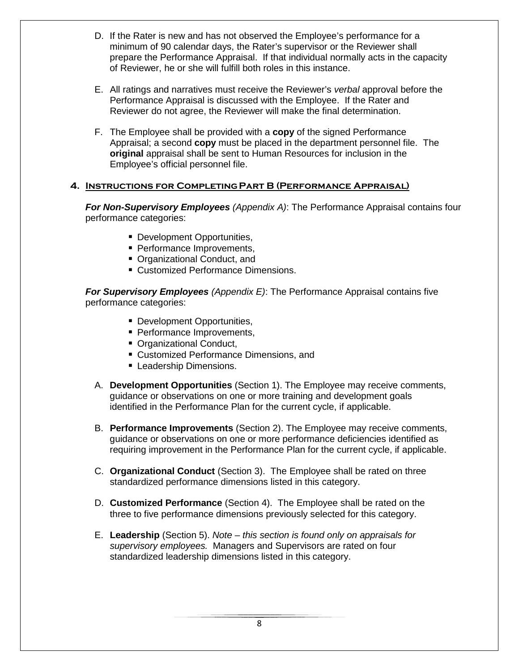- D. If the Rater is new and has not observed the Employee's performance for a minimum of 90 calendar days, the Rater's supervisor or the Reviewer shall prepare the Performance Appraisal. If that individual normally acts in the capacity of Reviewer, he or she will fulfill both roles in this instance.
- E. All ratings and narratives must receive the Reviewer's *verbal* approval before the Performance Appraisal is discussed with the Employee. If the Rater and Reviewer do not agree, the Reviewer will make the final determination.
- F. The Employee shall be provided with a **copy** of the signed Performance Appraisal; a second **copy** must be placed in the department personnel file. The **original** appraisal shall be sent to Human Resources for inclusion in the Employee's official personnel file.

#### **4. Instructions for Completing Part B (Performance Appraisal)**

*For Non-Supervisory Employees (Appendix A)*: The Performance Appraisal contains four performance categories:

- **Development Opportunities,**
- **Performance Improvements,**
- Organizational Conduct, and
- **Customized Performance Dimensions.**

*For Supervisory Employees (Appendix E)*: The Performance Appraisal contains five performance categories:

- Development Opportunities,
- **Performance Improvements,**
- Organizational Conduct,
- Customized Performance Dimensions, and
- **Leadership Dimensions.**
- A. **Development Opportunities** (Section 1). The Employee may receive comments, guidance or observations on one or more training and development goals identified in the Performance Plan for the current cycle, if applicable.
- B. **Performance Improvements** (Section 2). The Employee may receive comments, guidance or observations on one or more performance deficiencies identified as requiring improvement in the Performance Plan for the current cycle, if applicable.
- C. **Organizational Conduct** (Section 3). The Employee shall be rated on three standardized performance dimensions listed in this category.
- D. **Customized Performance** (Section 4). The Employee shall be rated on the three to five performance dimensions previously selected for this category.
- E. **Leadership** (Section 5). *Note this section is found only on appraisals for supervisory employees.* Managers and Supervisors are rated on four standardized leadership dimensions listed in this category.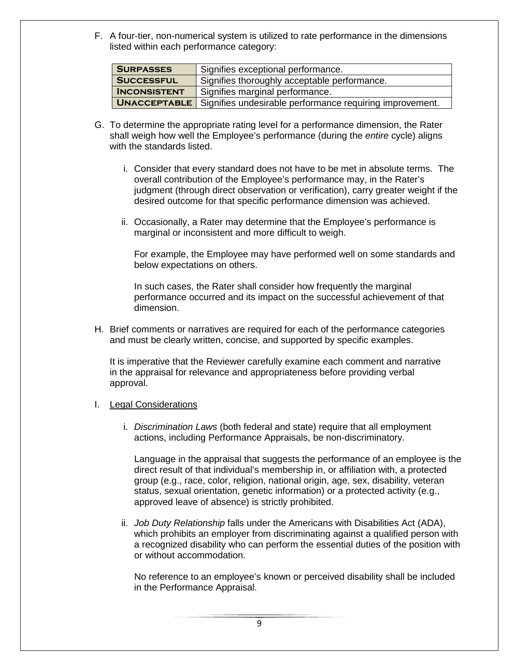F. A four-tier, non-numerical system is utilized to rate performance in the dimensions listed within each performance category:

| <b>SURPASSES</b>    | Signifies exceptional performance.                                           |  |
|---------------------|------------------------------------------------------------------------------|--|
| <b>SUCCESSFUL</b>   | Signifies thoroughly acceptable performance.                                 |  |
| <b>INCONSISTENT</b> | Signifies marginal performance.                                              |  |
|                     | <b>UNACCEPTABLE</b> Signifies undesirable performance requiring improvement. |  |

- G. To determine the appropriate rating level for a performance dimension, the Rater shall weigh how well the Employee's performance (during the *entire* cycle) aligns with the standards listed.
	- i. Consider that every standard does not have to be met in absolute terms. The overall contribution of the Employee's performance may, in the Rater's judgment (through direct observation or verification), carry greater weight if the desired outcome for that specific performance dimension was achieved.
	- ii. Occasionally, a Rater may determine that the Employee's performance is marginal or inconsistent and more difficult to weigh.

For example, the Employee may have performed well on some standards and below expectations on others.

In such cases, the Rater shall consider how frequently the marginal performance occurred and its impact on the successful achievement of that dimension.

H. Brief comments or narratives are required for each of the performance categories and must be clearly written, concise, and supported by specific examples.

It is imperative that the Reviewer carefully examine each comment and narrative in the appraisal for relevance and appropriateness before providing verbal approval.

#### I. Legal Considerations

i. *Discrimination Laws* (both federal and state) require that all employment actions, including Performance Appraisals, be non-discriminatory.

Language in the appraisal that suggests the performance of an employee is the direct result of that individual's membership in, or affiliation with, a protected group (e.g., race, color, religion, national origin, age, sex, disability, veteran status, sexual orientation, genetic information) or a protected activity (e.g., approved leave of absence) is strictly prohibited.

ii. *Job Duty Relationship* falls under the Americans with Disabilities Act (ADA), which prohibits an employer from discriminating against a qualified person with a recognized disability who can perform the essential duties of the position with or without accommodation.

No reference to an employee's known or perceived disability shall be included in the Performance Appraisal.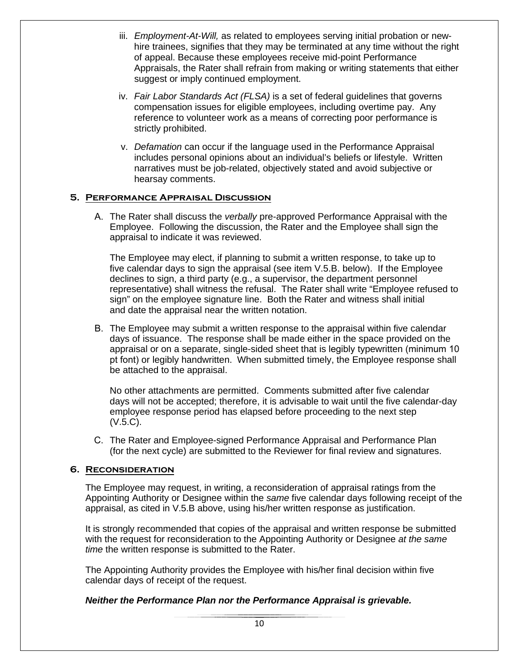- iii. *Employment-At-Will,* as related to employees serving initial probation or newhire trainees, signifies that they may be terminated at any time without the right of appeal. Because these employees receive mid-point Performance Appraisals, the Rater shall refrain from making or writing statements that either suggest or imply continued employment.
- iv. *Fair Labor Standards Act (FLSA)* is a set of federal guidelines that governs compensation issues for eligible employees, including overtime pay. Any reference to volunteer work as a means of correcting poor performance is strictly prohibited.
- v. *Defamation* can occur if the language used in the Performance Appraisal includes personal opinions about an individual's beliefs or lifestyle. Written narratives must be job-related, objectively stated and avoid subjective or hearsay comments.

#### **5. Performance Appraisal Discussion**

A. The Rater shall discuss the *verbally* pre-approved Performance Appraisal with the Employee. Following the discussion, the Rater and the Employee shall sign the appraisal to indicate it was reviewed.

The Employee may elect, if planning to submit a written response, to take up to five calendar days to sign the appraisal (see item V.5.B. below). If the Employee declines to sign, a third party (e.g., a supervisor, the department personnel representative) shall witness the refusal. The Rater shall write "Employee refused to sign" on the employee signature line. Both the Rater and witness shall initial and date the appraisal near the written notation.

B. The Employee may submit a written response to the appraisal within five calendar days of issuance. The response shall be made either in the space provided on the appraisal or on a separate, single-sided sheet that is legibly typewritten (minimum 10 pt font) or legibly handwritten. When submitted timely, the Employee response shall be attached to the appraisal.

No other attachments are permitted. Comments submitted after five calendar days will not be accepted; therefore, it is advisable to wait until the five calendar-day employee response period has elapsed before proceeding to the next step (V.5.C).

C. The Rater and Employee-signed Performance Appraisal and Performance Plan (for the next cycle) are submitted to the Reviewer for final review and signatures.

#### **6. Reconsideration**

The Employee may request, in writing, a reconsideration of appraisal ratings from the Appointing Authority or Designee within the *same* five calendar days following receipt of the appraisal, as cited in V.5.B above, using his/her written response as justification.

It is strongly recommended that copies of the appraisal and written response be submitted with the request for reconsideration to the Appointing Authority or Designee *at the same time* the written response is submitted to the Rater.

The Appointing Authority provides the Employee with his/her final decision within five calendar days of receipt of the request.

#### *Neither the Performance Plan nor the Performance Appraisal is grievable.*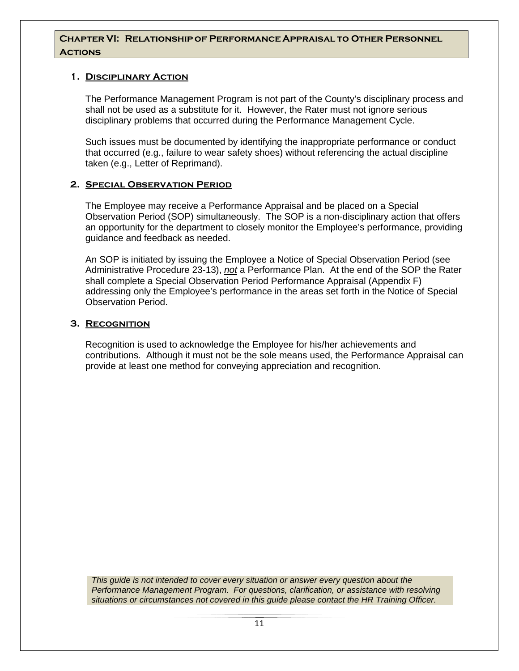#### **Chapter VI: Relationship of Performance Appraisal to Other Personnel Actions**

#### **1. Disciplinary Action**

The Performance Management Program is not part of the County's disciplinary process and shall not be used as a substitute for it. However, the Rater must not ignore serious disciplinary problems that occurred during the Performance Management Cycle.

Such issues must be documented by identifying the inappropriate performance or conduct that occurred (e.g., failure to wear safety shoes) without referencing the actual discipline taken (e.g., Letter of Reprimand).

#### **2. Special Observation Period**

The Employee may receive a Performance Appraisal and be placed on a Special Observation Period (SOP) simultaneously. The SOP is a non-disciplinary action that offers an opportunity for the department to closely monitor the Employee's performance, providing guidance and feedback as needed.

An SOP is initiated by issuing the Employee a Notice of Special Observation Period (see Administrative Procedure 23-13), *not* a Performance Plan. At the end of the SOP the Rater shall complete a Special Observation Period Performance Appraisal (Appendix F) addressing only the Employee's performance in the areas set forth in the Notice of Special Observation Period.

#### **3. Recognition**

Recognition is used to acknowledge the Employee for his/her achievements and contributions. Although it must not be the sole means used, the Performance Appraisal can provide at least one method for conveying appreciation and recognition.

*This guide is not intended to cover every situation or answer every question about the Performance Management Program. For questions, clarification, or assistance with resolving situations or circumstances not covered in this guide please contact the HR Training Officer.*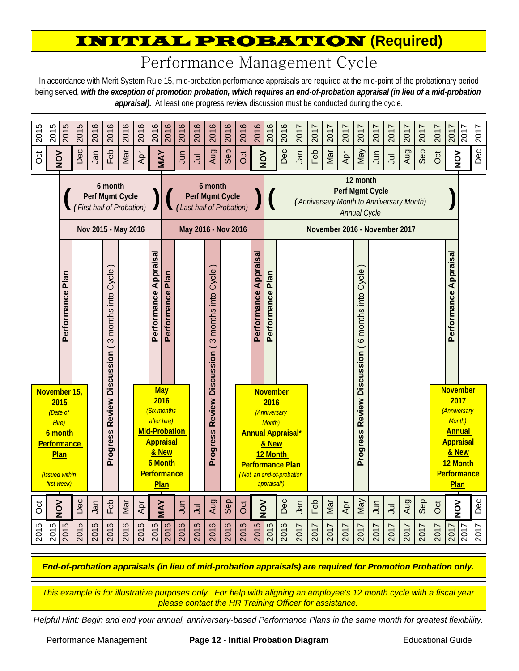### INITIAL PROBATION **(Required)**

# Performance Management Cycle

In accordance with Merit System Rule 15, mid-probation performance appraisals are required at the mid-point of the probationary period being served, *with the exception of promotion probation, which requires an end-of-probation appraisal (in lieu of a mid-probation*  appraisal). At least one progress review discussion must be conducted during the cycle.



*This example is for illustrative purposes only. For help with aligning an employee's 12 month cycle with a fiscal year please contact the HR Training Officer for assistance.*

*Helpful Hint: Begin and end your annual, anniversary-based Performance Plans in the same month for greatest flexibility.*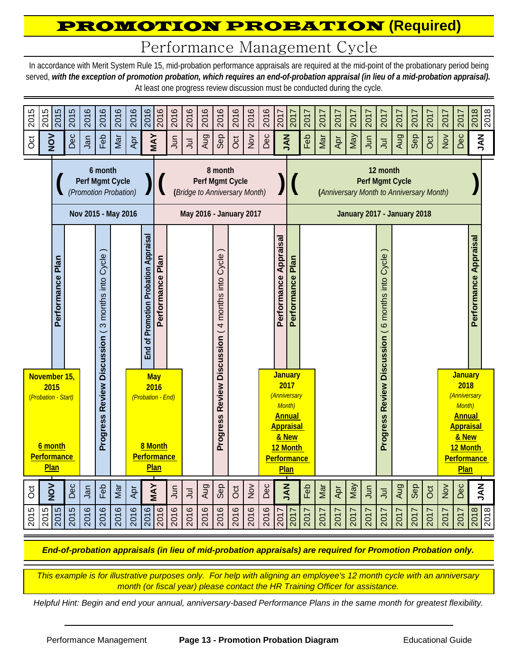## PROMOTION PROBATION **(Required)**

Performance Management Cycle

In accordance with Merit System Rule 15, mid-probation performance appraisals are required at the mid-point of the probationary period being served, *with the exception of promotion probation, which requires an end-of-probation appraisal (in lieu of a mid-probation appraisal).*  At least one progress review discussion must be conducted during the cycle.



*This example is for illustrative purposes only. For help with aligning an employee's 12 month cycle with an anniversary month (or fiscal year) please contact the HR Training Officer for assistance.*